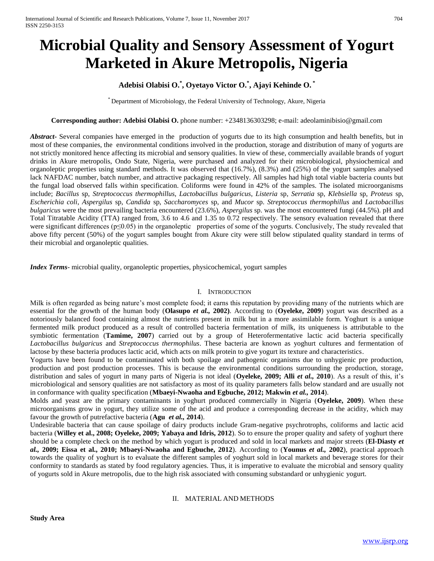# **Microbial Quality and Sensory Assessment of Yogurt Marketed in Akure Metropolis, Nigeria**

## **Adebisi Olabisi O.\* , Oyetayo Victor O.\* , Ajayi Kehinde O. \***

\* Department of Microbiology, the Federal University of Technology, Akure, Nigeria

## **Corresponding author: Adebisi Olabisi O.** phone number: +2348136303298; e-mail: adeolaminibisio@gmail.com

*Abstract***-** Several companies have emerged in the production of yogurts due to its high consumption and health benefits, but in most of these companies, the environmental conditions involved in the production, storage and distribution of many of yogurts are not strictly monitored hence affecting its microbial and sensory qualities. In view of these, commercially available brands of yogurt drinks in Akure metropolis, Ondo State, Nigeria, were purchased and analyzed for their microbiological, physiochemical and organoleptic properties using standard methods. It was observed that (16.7%), (8.3%) and (25%) of the yogurt samples analysed lack NAFDAC number, batch number, and attractive packaging respectively. All samples had high total viable bacteria counts but the fungal load observed falls within specification. Coliforms were found in 42% of the samples. The isolated microorganisms include; *Bacillus* sp, *Streptococcus thermophillus*, *Lactobacillus bulgaricus*, *Listeria* sp, *Serratia* sp, *Klebsiella* sp, *Proteus* sp, *Escherichia coli*, *Aspergilus* sp, *Candida* sp, *Saccharomyces* sp, and *Mucor* sp. *Streptococcus thermophillus* and *Lactobacillus bulgaricus* were the most prevailing bacteria encountered (23.6%), *Aspergilus* sp. was the most encountered fungi (44.5%). pH and Total Titratable Acidity (TTA) ranged from, 3.6 to 4.6 and 1.35 to 0.72 respectively. The sensory evaluation revealed that there were significant differences ( $p \le 0.05$ ) in the organoleptic properties of some of the yogurts. Conclusively, The study revealed that above fifty percent (50%) of the yogurt samples bought from Akure city were still below stipulated quality standard in terms of their microbial and organoleptic qualities.

*Index Terms*- microbial quality, organoleptic properties, physicochemical, yogurt samples

## I. INTRODUCTION

Milk is often regarded as being nature's most complete food; it earns this reputation by providing many of the nutrients which are essential for the growth of the human body (**Olasupo** *et al.,* **2002)**. According to (**Oyeleke, 2009**) yogurt was described as a notoriously balanced food containing almost the nutrients present in milk but in a more assimilable form. Yoghurt is a unique fermented milk product produced as a result of controlled bacteria fermentation of milk, its uniqueness is attributable to the symbiotic fermentation (**Tamime, 2007**) carried out by a group of Heterofermentative lactic acid bacteria specifically *Lactobacillus bulgaricus* and *Streptococcus thermophilus*. These bacteria are known as yoghurt cultures and fermentation of lactose by these bacteria produces lactic acid, which acts on milk protein to give yogurt its texture and characteristics.

Yogurts have been found to be contaminated with both spoilage and pathogenic organisms due to unhygienic pre production, production and post production processes. This is because the environmental conditions surrounding the production, storage, distribution and sales of yogurt in many parts of Nigeria is not ideal (**Oyeleke, 2009; Alli** *et al.,* **2010**). As a result of this, it's microbiological and sensory qualities are not satisfactory as most of its quality parameters falls below standard and are usually not in conformance with quality specification (**Mbaeyi-Nwaoha and Egbuche, 2012; Makwin** *et al.,* **2014**).

Molds and yeast are the primary contaminants in yoghurt produced commercially in Nigeria (**Oyeleke, 2009**). When these microorganisms grow in yogurt, they utilize some of the acid and produce a corresponding decrease in the acidity, which may favour the growth of putrefactive bacteria (**Agu** *et al.,* **2014**).

Undesirable bacteria that can cause spoilage of dairy products include Gram-negative psychrotrophs, coliforms and lactic acid bacteria (**Willey et al., 2008; Oyeleke, 2009; Yabaya and Idris, 2012**). So to ensure the proper quality and safety of yoghurt there should be a complete check on the method by which yogurt is produced and sold in local markets and major streets (**El-Diasty** *et al.,* **2009; Eissa et al., 2010; Mbaeyi-Nwaoha and Egbuche, 2012**). According to (**Younus** *et al.,* **2002**), practical approach towards the quality of yoghurt is to evaluate the different samples of yoghurt sold in local markets and beverage stores for their conformity to standards as stated by food regulatory agencies. Thus, it is imperative to evaluate the microbial and sensory quality of yogurts sold in Akure metropolis, due to the high risk associated with consuming substandard or unhygienic yogurt.

## II. MATERIAL AND METHODS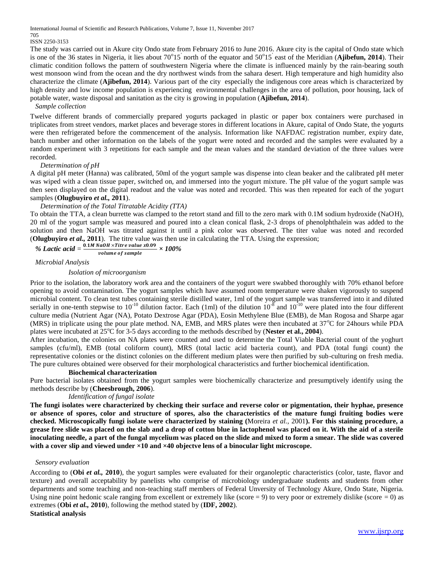International Journal of Scientific and Research Publications, Volume 7, Issue 11, November 2017

#### 705 ISSN 2250-3153

The study was carried out in Akure city Ondo state from February 2016 to June 2016. Akure city is the capital of Ondo state which is one of the 36 states in Nigeria, it lies about 70°15<sup>'</sup> north of the equator and 50°15<sup>'</sup> east of the Meridian (Ajibefun, 2014). Their climatic condition follows the pattern of southwestern Nigeria where the climate is influenced mainly by the rain-bearing south west monsoon wind from the ocean and the dry northwest winds from the sahara desert. High temperature and high humidity also characterize the climate (**Ajibefun, 2014**). Various part of the city especially the indigenous core areas which is characterized by high density and low income population is experiencing environmental challenges in the area of pollution, poor housing, lack of potable water, waste disposal and sanitation as the city is growing in population (**Ajibefun, 2014**).

#### *Sample collection*

Twelve different brands of commercially prepared yogurts packaged in plastic or paper box containers were purchased in triplicates from street vendors, market places and beverage stores in different locations in Akure, capital of Ondo State, the yogurts were then refrigerated before the commencement of the analysis. Information like NAFDAC registration number, expiry date, batch number and other information on the labels of the yogurt were noted and recorded and the samples were evaluated by a random experiment with 3 repetitions for each sample and the mean values and the standard deviation of the three values were recorded.

#### *Determination of pH*

A digital pH meter (Hanna) was calibrated, 50ml of the yogurt sample was dispense into clean beaker and the calibrated pH meter was wiped with a clean tissue paper, switched on, and immersed into the yogurt mixture. The pH value of the yogurt sample was then seen displayed on the digital readout and the value was noted and recorded. This was then repeated for each of the yogurt samples (**Olugbuyiro** *et al.,* **2011**).

## *Determination of the Total Titratable Acidity (TTA)*

To obtain the TTA, a clean burrette was clamped to the retort stand and fill to the zero mark with 0.1M sodium hydroxide (NaOH), 20 ml of the yogurt sample was measured and poured into a clean conical flask, 2-3 drops of phenolphthalein was added to the solution and then NaOH was titrated against it until a pink color was observed. The titer value was noted and recorded (**Olugbuyiro** *et al.,* **2011**). The titre value was then use in calculating the TTA. Using the expression;

% Lactic acid = 
$$
\frac{0.1M \text{ NaOH} \times \text{Time value } x0.09}{\text{volume of sample}} \times 100\%
$$

*Microbial Analysis*

*Isolation of microorganism* 

Prior to the isolation, the laboratory work area and the containers of the yogurt were swabbed thoroughly with 70% ethanol before opening to avoid contamination. The yogurt samples which have assumed room temperature were shaken vigorously to suspend microbial content. To clean test tubes containing sterile distilled water, 1ml of the yogurt sample was transferred into it and diluted serially in one-tenth stepwise to  $10^{-10}$  dilution factor. Each (1ml) of the dilution  $10^{-8}$  and  $10^{-10}$  were plated into the four different culture media (Nutrient Agar (NA), Potato Dextrose Agar (PDA), Eosin Methylene Blue (EMB), de Man Rogosa and Sharpe agar (MRS) in triplicate using the pour plate method. NA, EMB, and MRS plates were then incubated at  $37^{\circ}$ C for 24hours while PDA plates were incubated at 25<sup>o</sup>C for 3-5 days according to the methods described by (**Nester et al., 2004**).

After incubation, the colonies on NA plates were counted and used to determine the Total Viable Bacterial count of the yoghurt samples (cfu/ml), EMB (total coliform count), MRS (total lactic acid bacteria count), and PDA (total fungi count) the representative colonies or the distinct colonies on the different medium plates were then purified by sub-culturing on fresh media. The pure cultures obtained were observed for their morphological characteristics and further biochemical identification.

#### **Biochemical characterization**

Pure bacterial isolates obtained from the yogurt samples were biochemically characterize and presumptively identify using the methods describe by (**Cheesbrough, 2006**).

*Identification of fungal isolate*

**The fungi isolates were characterized by checking their surface and reverse color or pigmentation, their hyphae, presence or absence of spores, color and structure of spores, also the characteristics of the mature fungi fruiting bodies were checked. Microscopically fungi isolate were characterized by staining (**Moreira *et al.,* 2001**). For this staining procedure, a grease free slide was placed on the slab and a drop of cotton blue in lactophenol was placed on it. With the aid of a sterile inoculating needle, a part of the fungal mycelium was placed on the slide and mixed to form a smear. The slide was covered with a cover slip and viewed under ×10 and ×40 objectve lens of a binocular light microscope.** 

#### *Sensory evaluation*

According to (**Obi** *et al.,* **2010**), the yogurt samples were evaluated for their organoleptic characteristics (color, taste, flavor and texture) and overall acceptability by panelists who comprise of microbiology undergraduate students and students from other departments and some teaching and non-teaching staff members of Federal Unversity of Technology Akure, Ondo State, Nigeria. Using nine point hedonic scale ranging from excellent or extremely like (score  $= 9$ ) to very poor or extremely dislike (score  $= 0$ ) as extremes (**Obi** *et al.,* **2010**), following the method stated by (**IDF, 2002**). **Statistical analysis**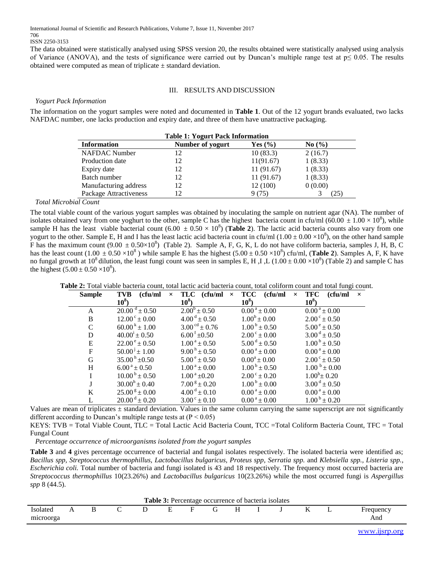International Journal of Scientific and Research Publications, Volume 7, Issue 11, November 2017 706 ISSN 2250-3153

The data obtained were statistically analysed using SPSS version 20, the results obtained were statistically analysed using analysis of Variance (ANOVA), and the tests of significance were carried out by Duncan's multiple range test at  $p \leq 0.05$ . The results obtained were computed as mean of triplicate  $\pm$  standard deviation.

## III. RESULTS AND DISCUSSION

## *Yogurt Pack Information*

The information on the yogurt samples were noted and documented in **Table 1**. Out of the 12 yogurt brands evaluated, two lacks NAFDAC number, one lacks production and expiry date, and three of them have unattractive packaging.

| <b>Table 1: Yogurt Pack Information</b> |                  |             |            |  |  |  |  |  |  |
|-----------------------------------------|------------------|-------------|------------|--|--|--|--|--|--|
| <b>Information</b>                      | Number of yogurt | Yes $(\% )$ | No $(\% )$ |  |  |  |  |  |  |
| NAFDAC Number                           | 12               | 10(83.3)    | 2(16.7)    |  |  |  |  |  |  |
| Production date                         | 12               | 11(91.67)   | 1(8.33)    |  |  |  |  |  |  |
| Expiry date                             | 12               | 11(91.67)   | 1(8.33)    |  |  |  |  |  |  |
| Batch number                            | 12               | 11(91.67)   | 1(8.33)    |  |  |  |  |  |  |
| Manufacturing address                   | 12               | 12 (100)    | 0(0.00)    |  |  |  |  |  |  |
| Package Attractiveness                  |                  | 9 (75)      | 25         |  |  |  |  |  |  |

## *Total Microbial Count*

The total viable count of the various yogurt samples was obtained by inoculating the sample on nutrient agar (NA). The number of isolates obtained vary from one yoghurt to the other, sample C has the highest bacteria count in cfu/ml (60.00  $\pm$  1.00  $\times$  10<sup>8</sup>), while sample H has the least viable bacterial count  $(6.00 \pm 0.50 \times 10^8)$  (Table 2). The lactic acid bacteria counts also vary from one yogurt to the other. Sample E, H and I has the least lactic acid bacteria count in cfu/ml  $(1.00 \pm 0.00 \times 10^8)$ , on the other hand sample F has the maximum count  $(9.00 \pm 0.50 \times 10^8)$  (Table 2). Sample A, F, G, K, L do not have coliform bacteria, samples J, H, B, C has the least count  $(1.00 \pm 0.50 \times 10^8)$  while sample E has the highest  $(5.00 \pm 0.50 \times 10^8)$  cfu/ml, (**Table 2**). Samples A, F, K have no fungal growth at 10<sup>8</sup> dilution, the least fungi count was seen in samples E, H, I, L ( $1.00 \pm 0.00 \times 10^8$ ) (Table 2) and sample C has the highest  $(5.00 \pm 0.50 \times 10^8)$ .

| <b>Sample</b> | (cfu/ml)<br><b>TVB</b>                     | TLC $(ctu/ml \times TCC$<br>$\times$                     | (cfu/ml                      | TFC<br>(cfu/ml<br>$\times$<br>$\times$ |
|---------------|--------------------------------------------|----------------------------------------------------------|------------------------------|----------------------------------------|
|               | $10^8$ )                                   | $10^8$ )                                                 | $10^8$ )                     | $10^8$ )                               |
| A             | $20.00^{\text{ d}} \pm 0.50$               | $2.00^b \pm 0.50$                                        | $0.00^{\text{ a}} \pm 0.00$  | $0.00^{\text{ a}} \pm 0.00$            |
| B             | $12.00^{\circ} \pm 0.00$                   | $4.00^{\text{ d}} \pm 0.50$                              | $1.00^b \pm 0.00$            | $2.00^{\circ} \pm 0.50$                |
| $\mathbf C$   | $60.00^{\mathrm{k}} \pm 1.00^{\mathrm{s}}$ | $3.00^{\text{cd}} \pm 0.76$                              | $1.00^{\mathrm{b}} \pm 0.50$ | $5.00^{\circ} \pm 0.50$                |
| D             | $40.00^{i} \pm 0.50$                       | $6.00^{\mathrm{f}}$ ±0.50                                | $2.00^{\circ} \pm 0.00$      | $3.00^{\mathrm{d}} \pm 0.50$           |
| E             | $22.00^{\circ} \pm 0.50^{\circ}$           | $1.00^{\text{a}} \pm 0.50^{\text{c}}$                    | $5.00^{\mathrm{d}} \pm 0.50$ | $1.00^{\mathrm{b}} \pm 0.50$           |
| $\mathbf F$   | $50.001 \pm 1.00$                          | $9.00^{\mathrm{h}} \pm 0.50^{\mathrm{t}}$                | $0.00^{\text{ a}} \pm 0.00$  | $0.00^{\text{ a}} \pm 0.00$            |
| G             | $35.00^{\mathrm{h}}\pm0.50$                | $5.00^{\circ} \pm 0.50^{\circ}$                          | $0.00^a \pm 0.00$            | $2.00^{\circ} \pm 0.50$                |
| H             | $6.00^{\text{ a}} \pm 0.50^{\text{}}$      | $1.00^{\text{a}} \pm 0.00$                               | $1.00^{\mathrm{b}} \pm 0.50$ | $1.00^{b} \pm 0.00$                    |
| I             | $10.00^{\mathrm{b}} \pm 0.50^{\mathrm{c}}$ | $1.00^{\text{ a}}$ ±0.20                                 | $2.00^{\circ} \pm 0.20$      | $1.00^b \pm 0.20$                      |
| J             | $30.00^{\rm h} \pm 0.40^{\rm s}$           | $7.00^{\text{ g}} \pm 0.20^{\text{ } \cdot \cdot \cdot}$ | $1.00^{\mathrm{b}} \pm 0.00$ | $3.00^{\mathrm{d}} \pm 0.50$           |
| K             | $25.00^{\text{ g}} \pm 0.00$               | $4.00^{\text{ d}} \pm 0.10$                              | $0.00^{\text{ a}} \pm 0.00$  | $0.00^{\text{ a}} \pm 0.00$            |
| L             | $20.00^{\mathrm{d}} \pm 0.20$              | $3.00^{\circ} \pm 0.10$                                  | $0.00^{\text{ a}} \pm 0.00$  | $1.00^{\mathrm{b}} \pm 0.20$           |
|               |                                            |                                                          |                              |                                        |

**Table 2:** Total viable bacteria count, total lactic acid bacteria count, total coliform count and total fungi count.

Values are mean of triplicates  $\pm$  standard deviation. Values in the same column carrying the same superscript are not significantly different according to Duncan's multiple range tests at  $(P < 0.05)$ 

KEYS: TVB = Total Viable Count, TLC = Total Lactic Acid Bacteria Count, TCC =Total Coliform Bacteria Count, TFC = Total Fungal Count

*Percentage occurrence of microorganisms isolated from the yogurt samples*

**Table 3** and **4** gives percentage occurrence of bacterial and fungal isolates respectively. The isolated bacteria were identified as; *Bacillus spp, Streptococcus thermophillus, Lactobacillus bulgaricus, Proteus spp, Serratia spp.* and *Klebsiella spp., Listeria spp., Escherichia coli.* Total number of bacteria and fungi isolated is 43 and 18 respectively. The frequency most occurred bacteria are *Streptococcus thermophillus* 10(23.26%) and *Lactobacillus bulgaricus* 10(23.26%) while the most occurred fungi is *Aspergillus spp* 8 (44.5).

| <b>Table 3:</b> Percentage occurrence of bacteria isolates |  |  |  |  |  |  |  |  |  |  |                          |  |                 |
|------------------------------------------------------------|--|--|--|--|--|--|--|--|--|--|--------------------------|--|-----------------|
| Isolated<br>microorga                                      |  |  |  |  |  |  |  |  |  |  | $\overline{\phantom{a}}$ |  | requency<br>And |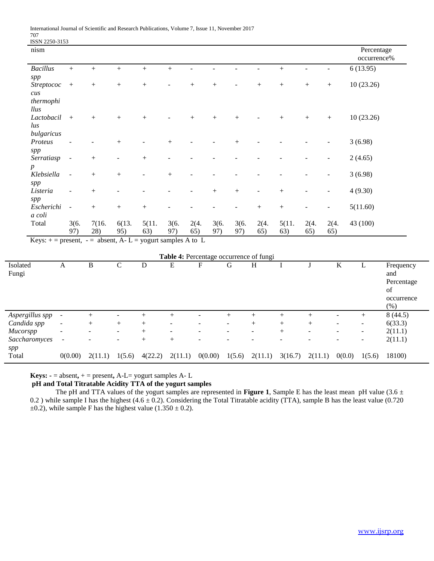| ISSN 2250-3153                        |                          |        |                  |                  |                |        |      |        |                          |                 |        |                  |                           |
|---------------------------------------|--------------------------|--------|------------------|------------------|----------------|--------|------|--------|--------------------------|-----------------|--------|------------------|---------------------------|
| nism                                  |                          |        |                  |                  |                |        |      |        |                          |                 |        |                  | Percentage<br>occurrence% |
| <b>Bacillus</b>                       | $+$                      | $+$    | $+$              | $+$              | $+$            |        |      |        |                          | $\! + \!$       |        |                  | 6(13.95)                  |
| spp                                   |                          |        |                  |                  |                |        |      |        |                          |                 |        |                  |                           |
| <i>Streptococ</i>                     | $^{+}$                   |        | $\boldsymbol{+}$ | $\boldsymbol{+}$ | $\overline{a}$ |        | $+$  |        | $^{+}$                   | $\! + \!\!\!\!$ |        | $\boldsymbol{+}$ | 10(23.26)                 |
| $\mathcal{C} \mathcal{U} \mathcal{S}$ |                          |        |                  |                  |                |        |      |        |                          |                 |        |                  |                           |
| thermophi                             |                          |        |                  |                  |                |        |      |        |                          |                 |        |                  |                           |
| llus                                  |                          |        |                  |                  |                |        |      |        |                          |                 |        |                  |                           |
| Lactobacil                            | $+$                      | $+$    | $^{+}$           | $+$              |                | $\! +$ | $+$  | $^{+}$ | $\overline{\phantom{0}}$ |                 | $^{+}$ | $\boldsymbol{+}$ | 10(23.26)                 |
| $\iota$ us                            |                          |        |                  |                  |                |        |      |        |                          |                 |        |                  |                           |
| bulgaricus                            |                          |        |                  |                  |                |        |      |        |                          |                 |        |                  |                           |
| Proteus                               |                          |        | $+$              |                  | $+$            |        |      | $+$    |                          |                 |        |                  | 3(6.98)                   |
| spp                                   |                          |        |                  |                  |                |        |      |        |                          |                 |        |                  |                           |
| Serratiasp                            | $\overline{\phantom{a}}$ | $^{+}$ |                  | $^{+}$           |                |        |      |        |                          |                 |        |                  | 2(4.65)                   |
| $\boldsymbol{p}$                      |                          |        |                  |                  |                |        |      |        |                          |                 |        |                  |                           |
| Klebsiella                            | $\sim$                   | $+$    | $+$              |                  | $+$            |        |      |        |                          |                 |        |                  | 3(6.98)                   |
| spp                                   |                          |        |                  |                  |                |        |      |        |                          |                 |        |                  |                           |
| Listeria                              | $\overline{\phantom{a}}$ | $+$    |                  |                  |                |        | $+$  | $+$    | $\overline{\phantom{a}}$ | $\! + \!$       |        |                  | 4(9.30)                   |
| spp                                   |                          |        |                  |                  |                |        |      |        |                          |                 |        |                  |                           |
| Escherichi                            | $\overline{\phantom{a}}$ | $+$    | $\boldsymbol{+}$ | $\boldsymbol{+}$ |                |        |      |        | $^{+}$                   | $\! + \!\!\!\!$ |        | -                | 5(11.60)                  |
| a coli                                |                          |        |                  |                  |                |        |      |        |                          |                 |        |                  |                           |
| Total                                 | 3(6.                     | 7(16.  | 6(13.            | 5(11.            | 3(6.           | 2(4.   | 3(6. | 3(6.   | 2(4.                     | 5(11.           | 2(4.   | 2(4.             | 43 (100)                  |
|                                       | 97)                      | 28)    | 95)              | 63)              | 97)            | 65)    | 97)  | 97)    | 65)                      | 63)             | 65)    | 65)              |                           |

Keys:  $+=$  present,  $-$  = absent, A-L = yogurt samples A to L

| Table 4: Percentage occurrence of fungi |                          |                          |                          |         |                          |                          |                              |                          |                          |                          |                          |                          |                                                            |
|-----------------------------------------|--------------------------|--------------------------|--------------------------|---------|--------------------------|--------------------------|------------------------------|--------------------------|--------------------------|--------------------------|--------------------------|--------------------------|------------------------------------------------------------|
| Isolated<br>Fungi                       | A                        | B                        | С                        | D       | E                        | F                        | G                            | Н                        |                          |                          | K                        |                          | Frequency<br>and<br>Percentage<br>of<br>occurrence<br>(% ) |
| Aspergillus spp                         | $\overline{\phantom{a}}$ | $^{+}$                   |                          | $^{+}$  | $^{+}$                   |                          | $^{+}$                       | $^{+}$                   | $+$                      | $^{+}$                   | ۰                        | $^{+}$                   | 8(44.5)                                                    |
| Candida spp                             | $\overline{\phantom{a}}$ | $^{+}$                   | $+$                      | $^{+}$  | $\overline{\phantom{0}}$ |                          | $\qquad \qquad \blacksquare$ | $^{+}$                   | $+$                      | $^{+}$                   | $\overline{\phantom{a}}$ | $\overline{\phantom{a}}$ | 6(33.3)                                                    |
| <b>Mucorspp</b>                         | $\overline{\phantom{a}}$ | $\overline{\phantom{a}}$ | $\overline{\phantom{0}}$ | $^{+}$  | $\overline{\phantom{0}}$ | $\overline{\phantom{a}}$ | $\qquad \qquad \blacksquare$ | $\overline{\phantom{a}}$ | $^{+}$                   | $\overline{\phantom{a}}$ | $\overline{\phantom{0}}$ | $\overline{\phantom{0}}$ | 2(11.1)                                                    |
| Saccharomyces                           | $\sim$                   |                          | $\overline{\phantom{0}}$ | $^{+}$  | $^{+}$                   | -                        |                              |                          | $\overline{\phantom{a}}$ | $\overline{\phantom{0}}$ | $\overline{\phantom{a}}$ | -                        | 2(11.1)                                                    |
| spp<br>Total                            | 0(0.00)                  | 2(11.1)                  | 1(5.6)                   | 4(22.2) | 2(11.1)                  | 0(0.00)                  | 1(5.6)                       | 2(11.1)                  | 3(16.7)                  | 2(11.1)                  | 0(0.0)                   | 1(5.6)                   | 18100)                                                     |

**Keys:**  $\text{-}$  = absent,  $\text{+}$  = present, A-L= yogurt samples A-L

## **pH and Total Titratable Acidity TTA of the yogurt samples**

The pH and TTA values of the yogurt samples are represented in **Figure 1**, Sample E has the least mean pH value (3.6 ± 0.2 ) while sample I has the highest  $(4.6 \pm 0.2)$ . Considering the Total Titratable acidity (TTA), sample B has the least value (0.720  $\pm$ 0.2), while sample F has the highest value (1.350  $\pm$  0.2).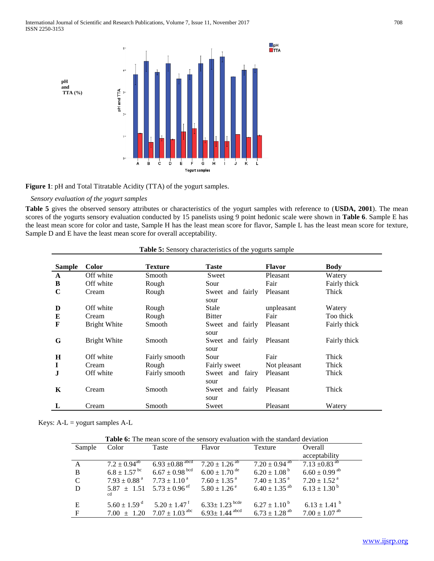

**Figure 1**: pH and Total Titratable Acidity (TTA) of the yogurt samples.

## *Sensory evaluation of the yogurt samples*

**Table 5** gives the observed sensory attributes or characteristics of the yogurt samples with reference to (**USDA, 2001**). The mean scores of the yogurts sensory evaluation conducted by 15 panelists using 9 point hedonic scale were shown in **Table 6**. Sample E has the least mean score for color and taste, Sample H has the least mean score for flavor, Sample L has the least mean score for texture, Sample D and E have the least mean score for overall acceptability.

| <b>Sample</b> | <b>Color</b>        | <b>Texture</b> | <b>Taste</b>               | <b>Flavor</b> | <b>Body</b>  |
|---------------|---------------------|----------------|----------------------------|---------------|--------------|
| A             | Off white           | Smooth         | Sweet                      | Pleasant      | Watery       |
| B             | Off white           | Rough          | Sour                       | Fair          | Fairly thick |
| C             | Cream               | Rough          | Sweet and fairly<br>sour   | Pleasant      | Thick        |
| D             | Off white           | Rough          | Stale                      | unpleasant    | Watery       |
| E             | Cream               | Rough          | <b>Bitter</b>              | Fair          | Too thick    |
| F             | <b>Bright White</b> | Smooth         | Sweet and fairly<br>sour   | Pleasant      | Fairly thick |
| G             | <b>Bright White</b> | Smooth         | Sweet and fairly<br>sour   | Pleasant      | Fairly thick |
| H             | Off white           | Fairly smooth  | Sour                       | Fair          | <b>Thick</b> |
| I             | Cream               | Rough          | Fairly sweet               | Not pleasant  | Thick        |
| J             | Off white           | Fairly smooth  | fairy<br>Sweet and<br>sour | Pleasant      | Thick        |
| K             | Cream               | Smooth         | Sweet and fairly<br>sour   | Pleasant      | Thick        |
|               | Cream               | Smooth         | Sweet                      | Pleasant      | Watery       |

|  | <b>Table 5:</b> Sensory characteristics of the yogurts sample |  |  |  |
|--|---------------------------------------------------------------|--|--|--|
|--|---------------------------------------------------------------|--|--|--|

Keys:  $A-L =$  yogurt samples  $A-L$ 

| Table 6: The mean score of the sensory evaluation with the standard deviation |                              |                                                                                     |                                 |                               |                               |  |  |  |  |  |
|-------------------------------------------------------------------------------|------------------------------|-------------------------------------------------------------------------------------|---------------------------------|-------------------------------|-------------------------------|--|--|--|--|--|
| Sample                                                                        | Color                        | Taste                                                                               | Flavor                          | Texture                       | Overall                       |  |  |  |  |  |
|                                                                               |                              |                                                                                     |                                 |                               | acceptability                 |  |  |  |  |  |
|                                                                               | $7.2 \pm 0.94^{\text{ab}}$   | $6.93 \pm 0.88$ abcd                                                                | $7.20 \pm 1.26^{\overline{ab}}$ | $7.20 \pm 0.94$ <sup>ab</sup> | 7.13 $\pm 0.83$ <sup>ab</sup> |  |  |  |  |  |
| B                                                                             | $6.8 \pm 1.57$ bc            | $6.67\pm0.98$ bcd                                                                   | $6.00 \pm 1.70$ <sup>de</sup>   | $6.20 \pm 1.08^{\mathrm{b}}$  | $6.60 \pm 0.99$ <sup>ab</sup> |  |  |  |  |  |
| C                                                                             |                              | $7.93 \pm 0.88^{\text{ a}}$ $7.73 \pm 1.10^{\text{ a}}$ $7.60 \pm 1.35^{\text{ a}}$ |                                 | $7.40 \pm 1.35$ <sup>a</sup>  | $7.20 \pm 1.52$ <sup>a</sup>  |  |  |  |  |  |
| D                                                                             | ed                           | $5.87 \pm 1.51$ $5.73 \pm 0.96$ <sup>ef</sup>                                       | $5.80 \pm 1.26^{\circ}$         | $6.40 \pm 1.35$ <sup>ab</sup> | $6.13 \pm 1.30^{\mathrm{b}}$  |  |  |  |  |  |
| E                                                                             | $5.60 \pm 1.59$ <sup>d</sup> | $5.20 \pm 1.47$ <sup>f</sup>                                                        | $6.33 \pm 1.23$ bcde            | $6.27 \pm 1.10^{\mathrm{b}}$  | $6.13 \pm 1.41$ <sup>b</sup>  |  |  |  |  |  |
| $\mathbf{F}$                                                                  |                              | 7.00 $\pm$ 1.20 7.07 $\pm$ 1.03 <sup>abc</sup> 6.93 $\pm$ 1.44 <sup>abcd</sup>      |                                 | $6.73 \pm 1.28$ <sup>ab</sup> | $7.00 \pm 1.07$ <sup>ab</sup> |  |  |  |  |  |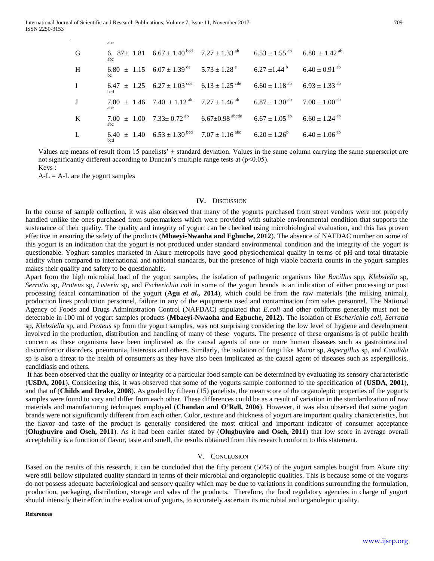|          | abc |                                                                                                                                            |  |
|----------|-----|--------------------------------------------------------------------------------------------------------------------------------------------|--|
| G        | abc | 6. $87\pm 1.81$ 6.67 $\pm 1.40$ bcd 7.27 $\pm 1.33$ ab 6.53 $\pm 1.55$ ab 6.80 $\pm 1.42$ ab                                               |  |
| H        |     | 6.80 $\pm$ 1.15 6.07 $\pm$ 1.39 <sup>de</sup> 5.73 $\pm$ 1.28 <sup>e</sup> 6.27 $\pm$ 1.44 <sup>b</sup> 6.40 $\pm$ 0.91 <sup>db</sup>      |  |
| $\bf{I}$ | bed | 6.47 $\pm$ 1.25 6.27 $\pm$ 1.03 <sup>cde</sup> 6.13 $\pm$ 1.25 <sup>cde</sup> 6.60 $\pm$ 1.18 <sup>ab</sup> 6.93 $\pm$ 1.33 <sup>ab</sup>  |  |
| J        | abc | 7.00 $\pm$ 1.46 7.40 $\pm$ 1.12 <sup>ab</sup> 7.27 $\pm$ 1.46 <sup>ab</sup> 6.87 $\pm$ 1.30 <sup>ab</sup> 7.00 $\pm$ 1.00 <sup>ab</sup>    |  |
| $\bf{K}$ | abc | 7.00 $\pm$ 1.00 7.33 $\pm$ 0.72 <sup>ab</sup> 6.67 $\pm$ 0.98 <sup>abcde</sup> 6.67 $\pm$ 1.05 <sup>ab</sup> 6.60 $\pm$ 1.24 <sup>ab</sup> |  |
| L        | bed | 6.40 $\pm$ 1.40 6.53 $\pm$ 1.30 <sup>bcd</sup> 7.07 $\pm$ 1.16 <sup>abc</sup> 6.20 $\pm$ 1.26 <sup>b</sup> 6.40 $\pm$ 1.06 <sup>ab</sup>   |  |

Values are means of result from 15 panelists'  $\pm$  standard deviation. Values in the same column carrying the same superscript are not significantly different according to Duncan's multiple range tests at  $(p<0.05)$ .

Keys :

 $A-L = A-L$  are the yogurt samples

#### **IV.** DISCUSSION

In the course of sample collection, it was also observed that many of the yogurts purchased from street vendors were not properly handled unlike the ones purchased from supermarkets which were provided with suitable environmental condition that supports the sustenance of their quality. The quality and integrity of yogurt can be checked using microbiological evaluation, and this has proven effective in ensuring the safety of the products (**Mbaeyi-Nwaoha and Egbuche, 2012**). The absence of NAFDAC number on some of this yogurt is an indication that the yogurt is not produced under standard environmental condition and the integrity of the yogurt is questionable. Yoghurt samples marketed in Akure metropolis have good physiochemical quality in terms of pH and total titratable acidity when compared to international and national standards, but the presence of high viable bacteria counts in the yogurt samples makes their quality and safety to be questionable.

Apart from the high microbial load of the yogurt samples, the isolation of pathogenic organisms like *Bacillus* spp, *Klebsiella* sp, *Serratia* sp, *Proteus* sp, *Listeria* sp, and *Escherichia coli* in some of the yogurt brands is an indication of either processing or post processing feacal contamination of the yogurt (**Agu** *et al.,* **2014**), which could be from the raw materials (the milking animal), production lines production personnel, failure in any of the equipments used and contamination from sales personnel. The National Agency of Foods and Drugs Administration Control (NAFDAC) stipulated that *E.coli* and other coliforms generally must not be detectable in 100 ml of yogurt samples products (**Mbaeyi-Nwaoha and Egbuche, 2012).** The isolation of *Escherichia coli*, *Serratia* sp, *Klebsiella* sp, and *Proteus* sp from the yogurt samples, was not surprising considering the low level of hygiene and development involved in the production, distribution and handling of many of these yogurts. The presence of these organisms is of public health concern as these organisms have been implicated as the causal agents of one or more human diseases such as gastrointestinal discomfort or disorders, pneumonia, listerosis and others. Similarly, the isolation of fungi like *Mucor* sp, *Aspergillus* sp, and *Candida* sp is also a threat to the health of consumers as they have also been implicated as the causal agent of diseases such as aspergillosis, candidiasis and others.

It has been observed that the quality or integrity of a particular food sample can be determined by evaluating its sensory characteristic (**USDA, 2001**). Considering this, it was observed that some of the yogurts sample conformed to the specification of (**USDA, 2001**), and that of (**Childs and Drake, 2008**). As graded by fifteen (15) panelists, the mean score of the organoleptic properties of the yogurts samples were found to vary and differ from each other. These differences could be as a result of variation in the standardization of raw materials and manufacturing techniques employed (**Chandan and O'Rell, 2006**). However, it was also observed that some yogurt brands were not significantly different from each other. Color, texture and thickness of yogurt are important quality characteristics, but the flavor and taste of the product is generally considered the most critical and important indicator of consumer acceptance (**Olugbuyiro and Oseh, 2011**). As it had been earlier stated by (**Olugbuyiro and Oseh, 2011**) that low score in average overall acceptability is a function of flavor, taste and smell, the results obtained from this research conform to this statement.

## V. CONCLUSION

Based on the results of this research, it can be concluded that the fifty percent (50%) of the yogurt samples bought from Akure city were still bellow stipulated quality standard in terms of their microbial and organoleptic qualities. This is because some of the yogurts do not possess adequate bacteriological and sensory quality which may be due to variations in conditions surrounding the formulation, production, packaging, distribution, storage and sales of the products. Therefore, the food regulatory agencies in charge of yogurt should intensify their effort in the evaluation of yogurts, to accurately ascertain its microbial and organoleptic quality.

**References**